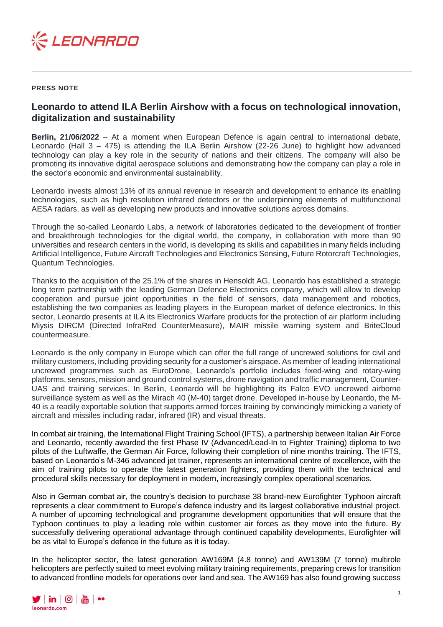

## **PRESS NOTE**

## **Leonardo to attend ILA Berlin Airshow with a focus on technological innovation, digitalization and sustainability**

**Berlin, 21/06/2022** – At a moment when European Defence is again central to international debate, Leonardo (Hall 3 – 475) is attending the ILA Berlin Airshow (22-26 June) to highlight how advanced technology can play a key role in the security of nations and their citizens. The company will also be promoting its innovative digital aerospace solutions and demonstrating how the company can play a role in the sector's economic and environmental sustainability.

Leonardo invests almost 13% of its annual revenue in research and development to enhance its enabling technologies, such as high resolution infrared detectors or the underpinning elements of multifunctional AESA radars, as well as developing new products and innovative solutions across domains.

Through the so-called Leonardo Labs, a network of laboratories dedicated to the development of frontier and breakthrough technologies for the digital world, the company, in collaboration with more than 90 universities and research centers in the world, is developing its skills and capabilities in many fields including Artificial Intelligence, Future Aircraft Technologies and Electronics Sensing, Future Rotorcraft Technologies, Quantum Technologies.

Thanks to the acquisition of the 25.1% of the shares in Hensoldt AG, Leonardo has established a strategic long term partnership with the leading German Defence Electronics company, which will allow to develop cooperation and pursue joint opportunities in the field of sensors, data management and robotics, establishing the two companies as leading players in the European market of defence electronics. In this sector, Leonardo presents at ILA its Electronics Warfare products for the protection of air platform including Miysis DIRCM (Directed InfraRed CounterMeasure), MAIR missile warning system and BriteCloud countermeasure.

Leonardo is the only company in Europe which can offer the full range of uncrewed solutions for civil and military customers, including providing security for a customer's airspace. As member of leading international uncrewed programmes such as EuroDrone, Leonardo's portfolio includes fixed-wing and rotary-wing platforms, sensors, mission and ground control systems, drone navigation and traffic management, Counter-UAS and training services. In Berlin, Leonardo will be highlighting its Falco EVO uncrewed airborne surveillance system as well as the Mirach 40 (M-40) target drone. Developed in-house by Leonardo, the M-40 is a readily exportable solution that supports armed forces training by convincingly mimicking a variety of aircraft and missiles including radar, infrared (IR) and visual threats.

In combat air training, the International Flight Training School (IFTS), a partnership between Italian Air Force and Leonardo, recently awarded the first Phase IV (Advanced/Lead-In to Fighter Training) diploma to two pilots of the Luftwaffe, the German Air Force, following their completion of nine months training. The IFTS, based on Leonardo's M-346 advanced jet trainer, represents an international centre of excellence, with the aim of training pilots to operate the latest generation fighters, providing them with the technical and procedural skills necessary for deployment in modern, increasingly complex operational scenarios.

Also in German combat air, the country's decision to purchase 38 brand-new Eurofighter Typhoon aircraft represents a clear commitment to Europe's defence industry and its largest collaborative industrial project. A number of upcoming technological and programme development opportunities that will ensure that the Typhoon continues to play a leading role within customer air forces as they move into the future. By successfully delivering operational advantage through continued capability developments, Eurofighter will be as vital to Europe's defence in the future as it is today.

In the helicopter sector, the latest generation AW169M (4.8 tonne) and AW139M (7 tonne) multirole helicopters are perfectly suited to meet evolving military training requirements, preparing crews for transition to advanced frontline models for operations over land and sea. The AW169 has also found growing success